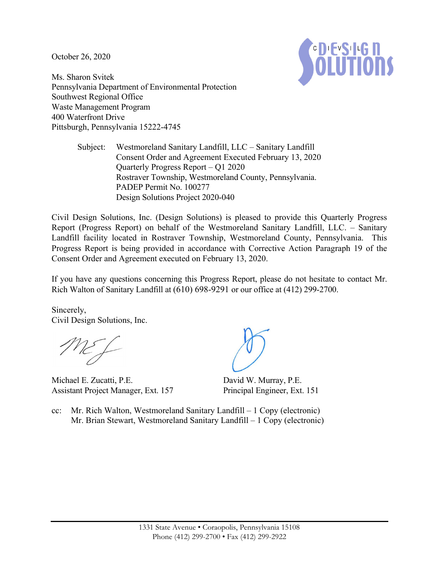October 26, 2020



Ms. Sharon Svitek Pennsylvania Department of Environmental Protection Southwest Regional Office Waste Management Program 400 Waterfront Drive Pittsburgh, Pennsylvania 15222-4745

> Subject: Westmoreland Sanitary Landfill, LLC – Sanitary Landfill Consent Order and Agreement Executed February 13, 2020 Quarterly Progress Report – Q1 2020 Rostraver Township, Westmoreland County, Pennsylvania. PADEP Permit No. 100277 Design Solutions Project 2020-040

Civil Design Solutions, Inc. (Design Solutions) is pleased to provide this Quarterly Progress Report (Progress Report) on behalf of the Westmoreland Sanitary Landfill, LLC. – Sanitary Landfill facility located in Rostraver Township, Westmoreland County, Pennsylvania. This Progress Report is being provided in accordance with Corrective Action Paragraph 19 of the Consent Order and Agreement executed on February 13, 2020.

If you have any questions concerning this Progress Report, please do not hesitate to contact Mr. Rich Walton of Sanitary Landfill at (610) 698-9291 or our office at (412) 299-2700.

Sincerely, Civil Design Solutions, Inc.

Michael E. Zucatti, P.E. Assistant Project Manager, Ext. 157

David W. Murray, P.E. Principal Engineer, Ext. 151

cc: Mr. Rich Walton, Westmoreland Sanitary Landfill – 1 Copy (electronic) Mr. Brian Stewart, Westmoreland Sanitary Landfill – 1 Copy (electronic)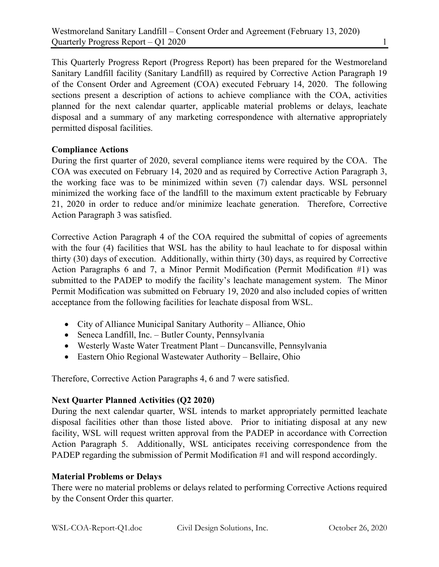This Quarterly Progress Report (Progress Report) has been prepared for the Westmoreland Sanitary Landfill facility (Sanitary Landfill) as required by Corrective Action Paragraph 19 of the Consent Order and Agreement (COA) executed February 14, 2020. The following sections present a description of actions to achieve compliance with the COA, activities planned for the next calendar quarter, applicable material problems or delays, leachate disposal and a summary of any marketing correspondence with alternative appropriately permitted disposal facilities.

#### **Compliance Actions**

During the first quarter of 2020, several compliance items were required by the COA. The COA was executed on February 14, 2020 and as required by Corrective Action Paragraph 3, the working face was to be minimized within seven (7) calendar days. WSL personnel minimized the working face of the landfill to the maximum extent practicable by February 21, 2020 in order to reduce and/or minimize leachate generation. Therefore, Corrective Action Paragraph 3 was satisfied.

Corrective Action Paragraph 4 of the COA required the submittal of copies of agreements with the four (4) facilities that WSL has the ability to haul leachate to for disposal within thirty (30) days of execution. Additionally, within thirty (30) days, as required by Corrective Action Paragraphs 6 and 7, a Minor Permit Modification (Permit Modification #1) was submitted to the PADEP to modify the facility's leachate management system. The Minor Permit Modification was submitted on February 19, 2020 and also included copies of written acceptance from the following facilities for leachate disposal from WSL.

- City of Alliance Municipal Sanitary Authority Alliance, Ohio
- Seneca Landfill, Inc. Butler County, Pennsylvania
- Westerly Waste Water Treatment Plant Duncansville, Pennsylvania
- Eastern Ohio Regional Wastewater Authority Bellaire, Ohio

Therefore, Corrective Action Paragraphs 4, 6 and 7 were satisfied.

# **Next Quarter Planned Activities (Q2 2020)**

During the next calendar quarter, WSL intends to market appropriately permitted leachate disposal facilities other than those listed above. Prior to initiating disposal at any new facility, WSL will request written approval from the PADEP in accordance with Correction Action Paragraph 5. Additionally, WSL anticipates receiving correspondence from the PADEP regarding the submission of Permit Modification #1 and will respond accordingly.

# **Material Problems or Delays**

There were no material problems or delays related to performing Corrective Actions required by the Consent Order this quarter.